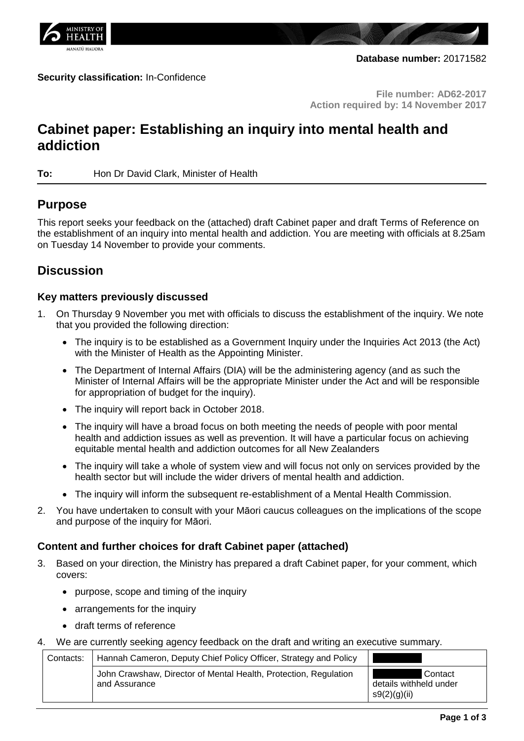

#### **Security classification:** In-Confidence

**File number: AD62-2017 Action required by: 14 November 2017**

# **Cabinet paper: Establishing an inquiry into mental health and addiction**

**To:** Hon Dr David Clark, Minister of Health

## **Purpose**

This report seeks your feedback on the (attached) draft Cabinet paper and draft Terms of Reference on the establishment of an inquiry into mental health and addiction. You are meeting with officials at 8.25am on Tuesday 14 November to provide your comments.

## **Discussion**

## **Key matters previously discussed**

- 1. On Thursday 9 November you met with officials to discuss the establishment of the inquiry. We note that you provided the following direction:
	- The inquiry is to be established as a Government Inquiry under the Inquiries Act 2013 (the Act) with the Minister of Health as the Appointing Minister.
	- The Department of Internal Affairs (DIA) will be the administering agency (and as such the Minister of Internal Affairs will be the appropriate Minister under the Act and will be responsible for appropriation of budget for the inquiry).
	- The inquiry will report back in October 2018.
	- The inquiry will have a broad focus on both meeting the needs of people with poor mental health and addiction issues as well as prevention. It will have a particular focus on achieving equitable mental health and addiction outcomes for all New Zealanders
	- The inquiry will take a whole of system view and will focus not only on services provided by the health sector but will include the wider drivers of mental health and addiction.
	- The inquiry will inform the subsequent re-establishment of a Mental Health Commission.
- 2. You have undertaken to consult with your Māori caucus colleagues on the implications of the scope and purpose of the inquiry for Māori.

## **Content and further choices for draft Cabinet paper (attached)**

- 3. Based on your direction, the Ministry has prepared a draft Cabinet paper, for your comment, which covers:
	- purpose, scope and timing of the inquiry
	- arrangements for the inquiry
	- draft terms of reference
- 4. We are currently seeking agency feedback on the draft and writing an executive summary.

| Contacts: | Hannah Cameron, Deputy Chief Policy Officer, Strategy and Policy                  |                                                   |
|-----------|-----------------------------------------------------------------------------------|---------------------------------------------------|
|           | John Crawshaw, Director of Mental Health, Protection, Regulation<br>and Assurance | Contact<br>details withheld under<br>s9(2)(g)(ii) |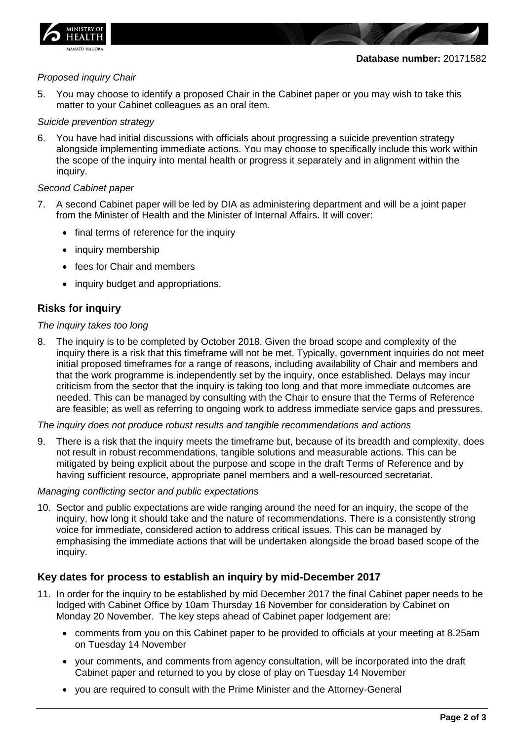

#### *Proposed inquiry Chair*

5. You may choose to identify a proposed Chair in the Cabinet paper or you may wish to take this matter to your Cabinet colleagues as an oral item.

#### *Suicide prevention strategy*

6. You have had initial discussions with officials about progressing a suicide prevention strategy alongside implementing immediate actions. You may choose to specifically include this work within the scope of the inquiry into mental health or progress it separately and in alignment within the inquiry.

#### *Second Cabinet paper*

- 7. A second Cabinet paper will be led by DIA as administering department and will be a joint paper from the Minister of Health and the Minister of Internal Affairs. It will cover:
	- final terms of reference for the inquiry
	- inquiry membership
	- fees for Chair and members
	- inquiry budget and appropriations.

### **Risks for inquiry**

#### *The inquiry takes too long*

8. The inquiry is to be completed by October 2018. Given the broad scope and complexity of the inquiry there is a risk that this timeframe will not be met. Typically, government inquiries do not meet initial proposed timeframes for a range of reasons, including availability of Chair and members and that the work programme is independently set by the inquiry, once established. Delays may incur criticism from the sector that the inquiry is taking too long and that more immediate outcomes are needed. This can be managed by consulting with the Chair to ensure that the Terms of Reference are feasible; as well as referring to ongoing work to address immediate service gaps and pressures.

#### *The inquiry does not produce robust results and tangible recommendations and actions*

9. There is a risk that the inquiry meets the timeframe but, because of its breadth and complexity, does not result in robust recommendations, tangible solutions and measurable actions. This can be mitigated by being explicit about the purpose and scope in the draft Terms of Reference and by having sufficient resource, appropriate panel members and a well-resourced secretariat.

#### *Managing conflicting sector and public expectations*

10. Sector and public expectations are wide ranging around the need for an inquiry, the scope of the inquiry, how long it should take and the nature of recommendations. There is a consistently strong voice for immediate, considered action to address critical issues. This can be managed by emphasising the immediate actions that will be undertaken alongside the broad based scope of the inquiry.

## **Key dates for process to establish an inquiry by mid-December 2017**

- 11. In order for the inquiry to be established by mid December 2017 the final Cabinet paper needs to be lodged with Cabinet Office by 10am Thursday 16 November for consideration by Cabinet on Monday 20 November. The key steps ahead of Cabinet paper lodgement are:
	- comments from you on this Cabinet paper to be provided to officials at your meeting at 8.25am on Tuesday 14 November
	- your comments, and comments from agency consultation, will be incorporated into the draft Cabinet paper and returned to you by close of play on Tuesday 14 November
	- you are required to consult with the Prime Minister and the Attorney-General